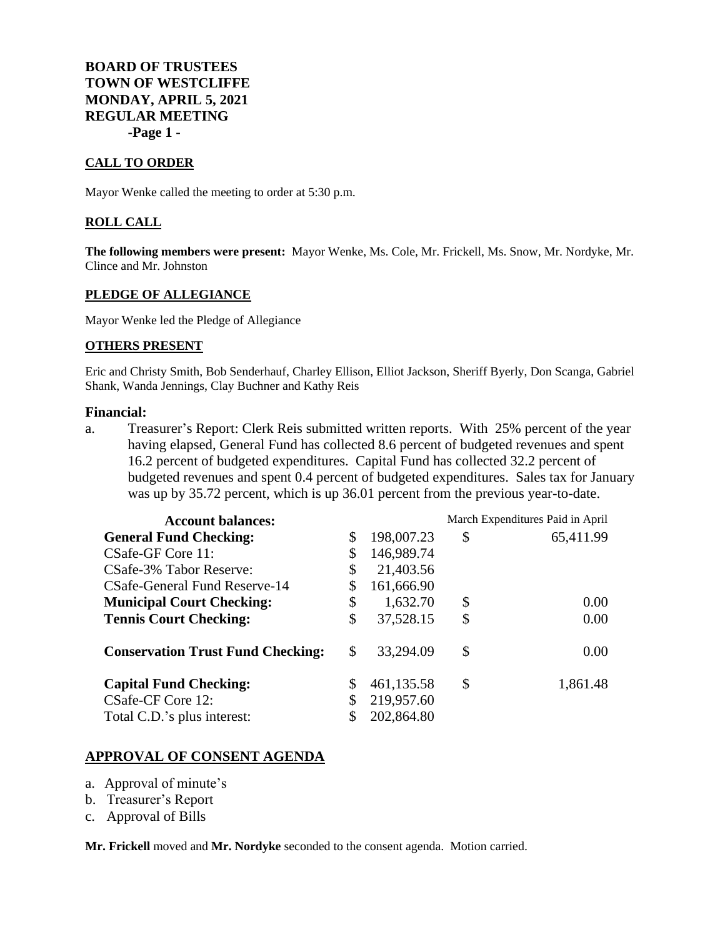**BOARD OF TRUSTEES TOWN OF WESTCLIFFE MONDAY, APRIL 5, 2021 REGULAR MEETING -Page 1 -**

### **CALL TO ORDER**

Mayor Wenke called the meeting to order at 5:30 p.m.

#### **ROLL CALL**

**The following members were present:** Mayor Wenke, Ms. Cole, Mr. Frickell, Ms. Snow, Mr. Nordyke, Mr. Clince and Mr. Johnston

#### **PLEDGE OF ALLEGIANCE**

Mayor Wenke led the Pledge of Allegiance

#### **OTHERS PRESENT**

Eric and Christy Smith, Bob Senderhauf, Charley Ellison, Elliot Jackson, Sheriff Byerly, Don Scanga, Gabriel Shank, Wanda Jennings, Clay Buchner and Kathy Reis

### **Financial:**

a. Treasurer's Report: Clerk Reis submitted written reports. With 25% percent of the year having elapsed, General Fund has collected 8.6 percent of budgeted revenues and spent 16.2 percent of budgeted expenditures. Capital Fund has collected 32.2 percent of budgeted revenues and spent 0.4 percent of budgeted expenditures. Sales tax for January was up by 35.72 percent, which is up 36.01 percent from the previous year-to-date.

| <b>Account balances:</b>                 |                          | March Expenditures Paid in April |           |
|------------------------------------------|--------------------------|----------------------------------|-----------|
| <b>General Fund Checking:</b>            | \$<br>198,007.23         | \$                               | 65,411.99 |
| CSafe-GF Core 11:                        | \$<br>146,989.74         |                                  |           |
| CSafe-3% Tabor Reserve:                  | \$<br>21,403.56          |                                  |           |
| CSafe-General Fund Reserve-14            | 161,666.90               |                                  |           |
| <b>Municipal Court Checking:</b>         | \$<br>1,632.70           | \$                               | 0.00      |
| <b>Tennis Court Checking:</b>            | \$<br>37,528.15          | \$                               | 0.00      |
| <b>Conservation Trust Fund Checking:</b> | \$<br>33,294.09          | \$                               | 0.00      |
| <b>Capital Fund Checking:</b>            | 461,135.58               | \$                               | 1,861.48  |
| CSafe-CF Core 12:                        | 219,957.60<br>202,864.80 |                                  |           |
| Total C.D.'s plus interest:              |                          |                                  |           |

### **APPROVAL OF CONSENT AGENDA**

- a. Approval of minute's
- b. Treasurer's Report
- c. Approval of Bills

**Mr. Frickell** moved and **Mr. Nordyke** seconded to the consent agenda. Motion carried.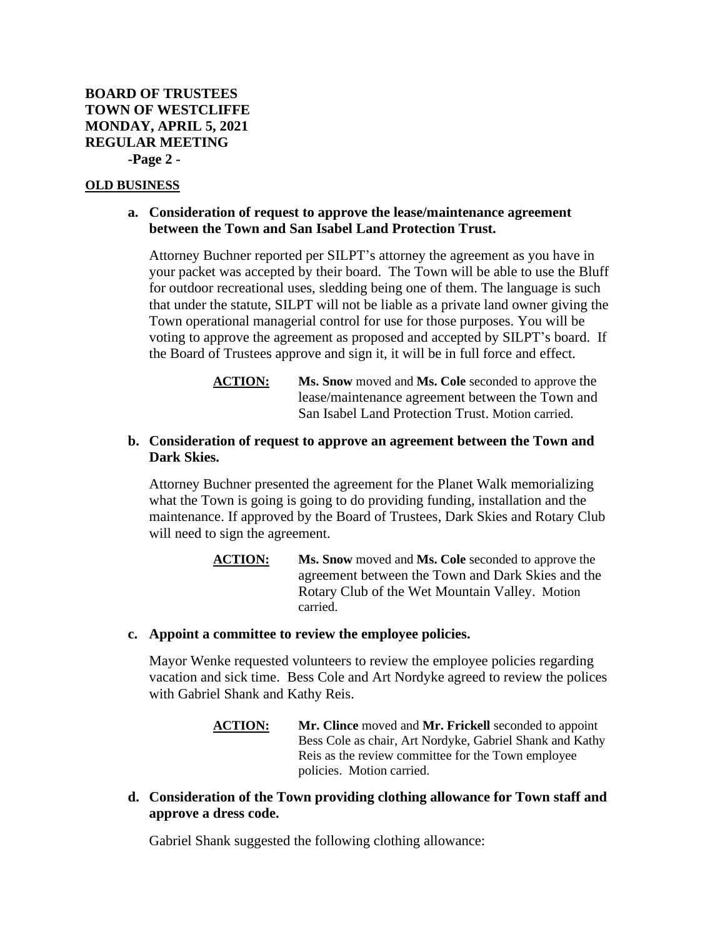## **OLD BUSINESS**

# **a. Consideration of request to approve the lease/maintenance agreement between the Town and San Isabel Land Protection Trust.**

Attorney Buchner reported per SILPT's attorney the agreement as you have in your packet was accepted by their board. The Town will be able to use the Bluff for outdoor recreational uses, sledding being one of them. The language is such that under the statute, SILPT will not be liable as a private land owner giving the Town operational managerial control for use for those purposes. You will be voting to approve the agreement as proposed and accepted by SILPT's board. If the Board of Trustees approve and sign it, it will be in full force and effect.

> **ACTION: Ms. Snow** moved and **Ms. Cole** seconded to approve the lease/maintenance agreement between the Town and San Isabel Land Protection Trust. Motion carried.

## **b. Consideration of request to approve an agreement between the Town and Dark Skies.**

Attorney Buchner presented the agreement for the Planet Walk memorializing what the Town is going is going to do providing funding, installation and the maintenance. If approved by the Board of Trustees, Dark Skies and Rotary Club will need to sign the agreement.

> **ACTION: Ms. Snow** moved and **Ms. Cole** seconded to approve the agreement between the Town and Dark Skies and the Rotary Club of the Wet Mountain Valley. Motion carried.

### **c. Appoint a committee to review the employee policies.**

Mayor Wenke requested volunteers to review the employee policies regarding vacation and sick time. Bess Cole and Art Nordyke agreed to review the polices with Gabriel Shank and Kathy Reis.

- **ACTION: Mr. Clince** moved and **Mr. Frickell** seconded to appoint Bess Cole as chair, Art Nordyke, Gabriel Shank and Kathy Reis as the review committee for the Town employee policies. Motion carried.
- **d. Consideration of the Town providing clothing allowance for Town staff and approve a dress code.**

Gabriel Shank suggested the following clothing allowance: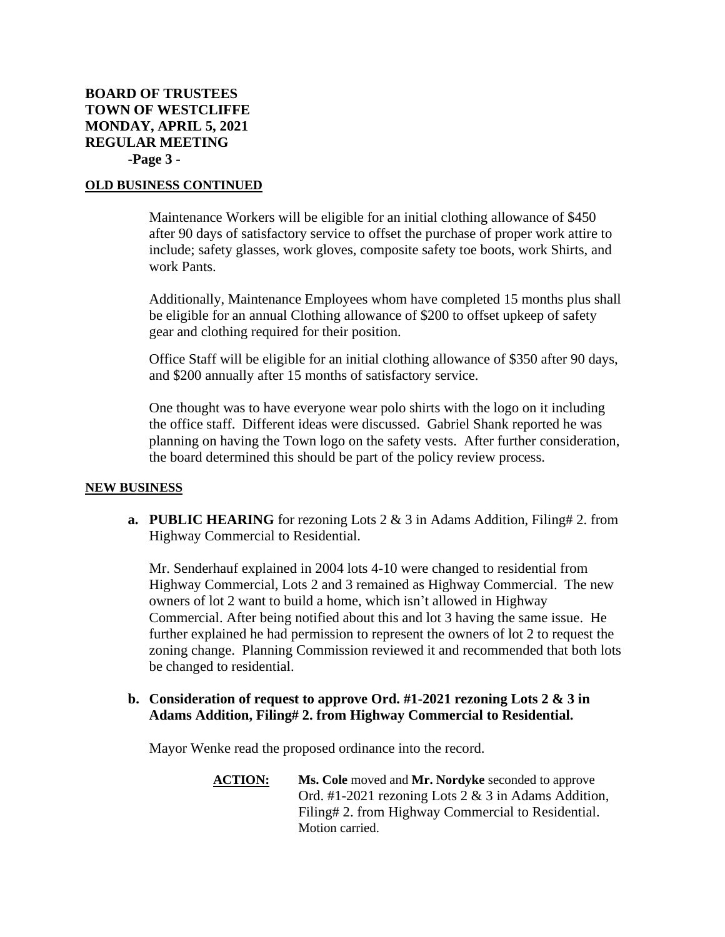# **BOARD OF TRUSTEES TOWN OF WESTCLIFFE MONDAY, APRIL 5, 2021 REGULAR MEETING -Page 3 -**

## **OLD BUSINESS CONTINUED**

Maintenance Workers will be eligible for an initial clothing allowance of \$450 after 90 days of satisfactory service to offset the purchase of proper work attire to include; safety glasses, work gloves, composite safety toe boots, work Shirts, and work Pants.

Additionally, Maintenance Employees whom have completed 15 months plus shall be eligible for an annual Clothing allowance of \$200 to offset upkeep of safety gear and clothing required for their position.

Office Staff will be eligible for an initial clothing allowance of \$350 after 90 days, and \$200 annually after 15 months of satisfactory service.

One thought was to have everyone wear polo shirts with the logo on it including the office staff. Different ideas were discussed. Gabriel Shank reported he was planning on having the Town logo on the safety vests. After further consideration, the board determined this should be part of the policy review process.

### **NEW BUSINESS**

**a. PUBLIC HEARING** for rezoning Lots 2 & 3 in Adams Addition, Filing# 2. from Highway Commercial to Residential.

Mr. Senderhauf explained in 2004 lots 4-10 were changed to residential from Highway Commercial, Lots 2 and 3 remained as Highway Commercial. The new owners of lot 2 want to build a home, which isn't allowed in Highway Commercial. After being notified about this and lot 3 having the same issue. He further explained he had permission to represent the owners of lot 2 to request the zoning change. Planning Commission reviewed it and recommended that both lots be changed to residential.

## **b. Consideration of request to approve Ord. #1-2021 rezoning Lots 2 & 3 in Adams Addition, Filing# 2. from Highway Commercial to Residential.**

Mayor Wenke read the proposed ordinance into the record.

**ACTION: Ms. Cole** moved and **Mr. Nordyke** seconded to approve Ord. #1-2021 rezoning Lots 2 & 3 in Adams Addition, Filing# 2. from Highway Commercial to Residential. Motion carried.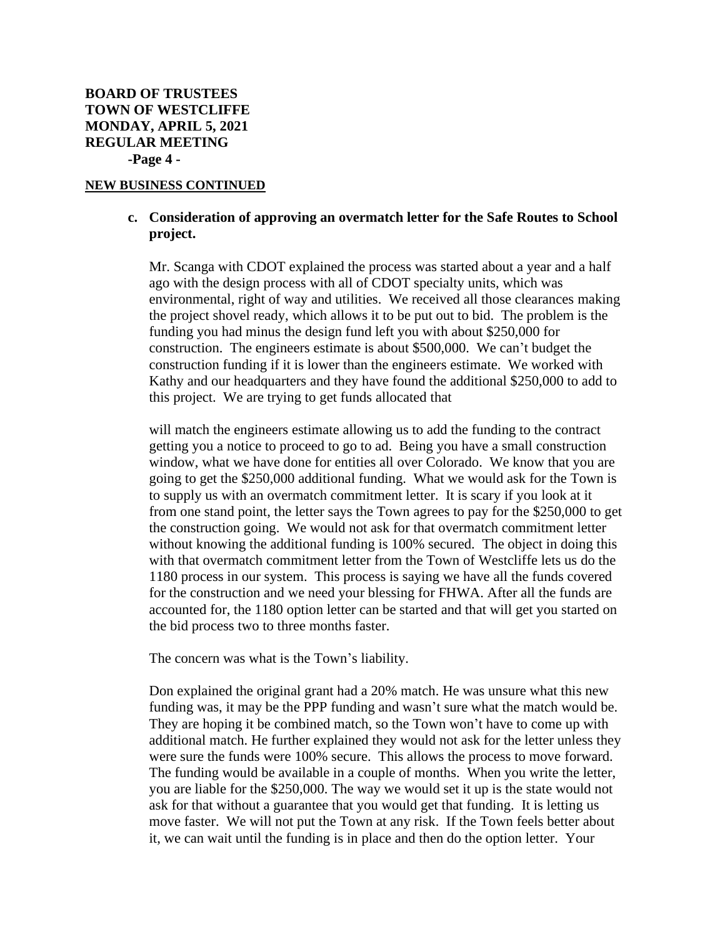#### **NEW BUSINESS CONTINUED**

# **c. Consideration of approving an overmatch letter for the Safe Routes to School project.**

Mr. Scanga with CDOT explained the process was started about a year and a half ago with the design process with all of CDOT specialty units, which was environmental, right of way and utilities. We received all those clearances making the project shovel ready, which allows it to be put out to bid. The problem is the funding you had minus the design fund left you with about \$250,000 for construction. The engineers estimate is about \$500,000. We can't budget the construction funding if it is lower than the engineers estimate. We worked with Kathy and our headquarters and they have found the additional \$250,000 to add to this project. We are trying to get funds allocated that

will match the engineers estimate allowing us to add the funding to the contract getting you a notice to proceed to go to ad. Being you have a small construction window, what we have done for entities all over Colorado. We know that you are going to get the \$250,000 additional funding. What we would ask for the Town is to supply us with an overmatch commitment letter. It is scary if you look at it from one stand point, the letter says the Town agrees to pay for the \$250,000 to get the construction going. We would not ask for that overmatch commitment letter without knowing the additional funding is 100% secured. The object in doing this with that overmatch commitment letter from the Town of Westcliffe lets us do the 1180 process in our system. This process is saying we have all the funds covered for the construction and we need your blessing for FHWA. After all the funds are accounted for, the 1180 option letter can be started and that will get you started on the bid process two to three months faster.

The concern was what is the Town's liability.

Don explained the original grant had a 20% match. He was unsure what this new funding was, it may be the PPP funding and wasn't sure what the match would be. They are hoping it be combined match, so the Town won't have to come up with additional match. He further explained they would not ask for the letter unless they were sure the funds were 100% secure. This allows the process to move forward. The funding would be available in a couple of months. When you write the letter, you are liable for the \$250,000. The way we would set it up is the state would not ask for that without a guarantee that you would get that funding. It is letting us move faster. We will not put the Town at any risk. If the Town feels better about it, we can wait until the funding is in place and then do the option letter. Your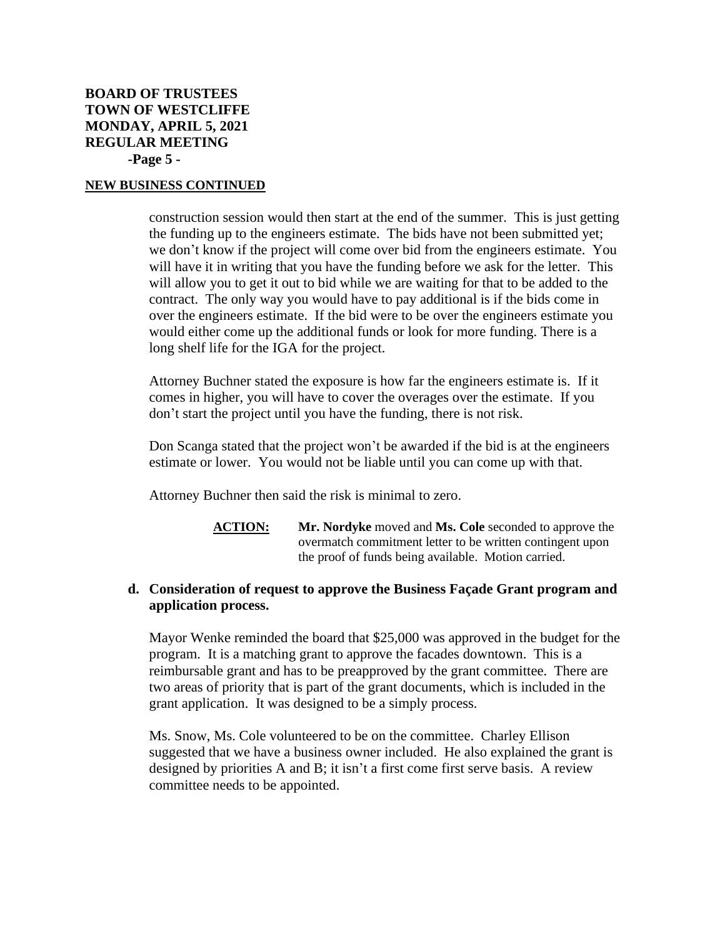# **BOARD OF TRUSTEES TOWN OF WESTCLIFFE MONDAY, APRIL 5, 2021 REGULAR MEETING -Page 5 -**

## **NEW BUSINESS CONTINUED**

construction session would then start at the end of the summer. This is just getting the funding up to the engineers estimate. The bids have not been submitted yet; we don't know if the project will come over bid from the engineers estimate. You will have it in writing that you have the funding before we ask for the letter. This will allow you to get it out to bid while we are waiting for that to be added to the contract. The only way you would have to pay additional is if the bids come in over the engineers estimate. If the bid were to be over the engineers estimate you would either come up the additional funds or look for more funding. There is a long shelf life for the IGA for the project.

Attorney Buchner stated the exposure is how far the engineers estimate is. If it comes in higher, you will have to cover the overages over the estimate. If you don't start the project until you have the funding, there is not risk.

Don Scanga stated that the project won't be awarded if the bid is at the engineers estimate or lower. You would not be liable until you can come up with that.

Attorney Buchner then said the risk is minimal to zero.

**ACTION: Mr. Nordyke** moved and **Ms. Cole** seconded to approve the overmatch commitment letter to be written contingent upon the proof of funds being available. Motion carried.

## **d. Consideration of request to approve the Business Façade Grant program and application process.**

Mayor Wenke reminded the board that \$25,000 was approved in the budget for the program. It is a matching grant to approve the facades downtown. This is a reimbursable grant and has to be preapproved by the grant committee. There are two areas of priority that is part of the grant documents, which is included in the grant application. It was designed to be a simply process.

Ms. Snow, Ms. Cole volunteered to be on the committee. Charley Ellison suggested that we have a business owner included. He also explained the grant is designed by priorities A and B; it isn't a first come first serve basis. A review committee needs to be appointed.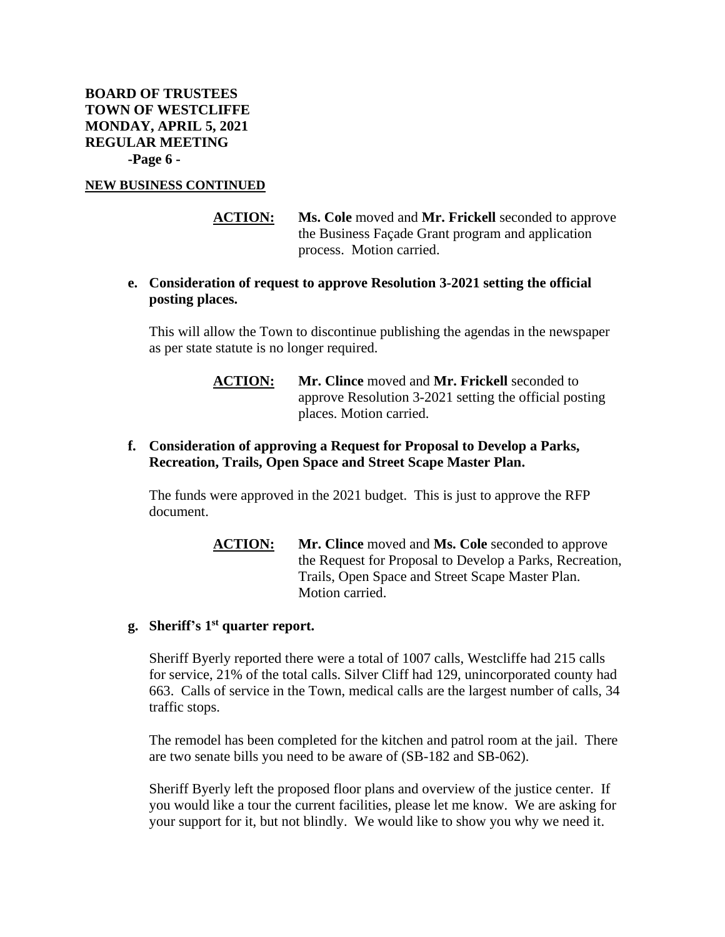**BOARD OF TRUSTEES TOWN OF WESTCLIFFE MONDAY, APRIL 5, 2021 REGULAR MEETING -Page 6 -**

#### **NEW BUSINESS CONTINUED**

**ACTION: Ms. Cole** moved and **Mr. Frickell** seconded to approve the Business Façade Grant program and application process. Motion carried.

## **e. Consideration of request to approve Resolution 3-2021 setting the official posting places.**

This will allow the Town to discontinue publishing the agendas in the newspaper as per state statute is no longer required.

> **ACTION: Mr. Clince** moved and **Mr. Frickell** seconded to approve Resolution 3-2021 setting the official posting places. Motion carried.

## **f. Consideration of approving a Request for Proposal to Develop a Parks, Recreation, Trails, Open Space and Street Scape Master Plan.**

The funds were approved in the 2021 budget. This is just to approve the RFP document.

> **ACTION: Mr. Clince** moved and **Ms. Cole** seconded to approve the Request for Proposal to Develop a Parks, Recreation, Trails, Open Space and Street Scape Master Plan. Motion carried.

## **g. Sheriff's 1 st quarter report.**

Sheriff Byerly reported there were a total of 1007 calls, Westcliffe had 215 calls for service, 21% of the total calls. Silver Cliff had 129, unincorporated county had 663. Calls of service in the Town, medical calls are the largest number of calls, 34 traffic stops.

The remodel has been completed for the kitchen and patrol room at the jail. There are two senate bills you need to be aware of (SB-182 and SB-062).

Sheriff Byerly left the proposed floor plans and overview of the justice center. If you would like a tour the current facilities, please let me know. We are asking for your support for it, but not blindly. We would like to show you why we need it.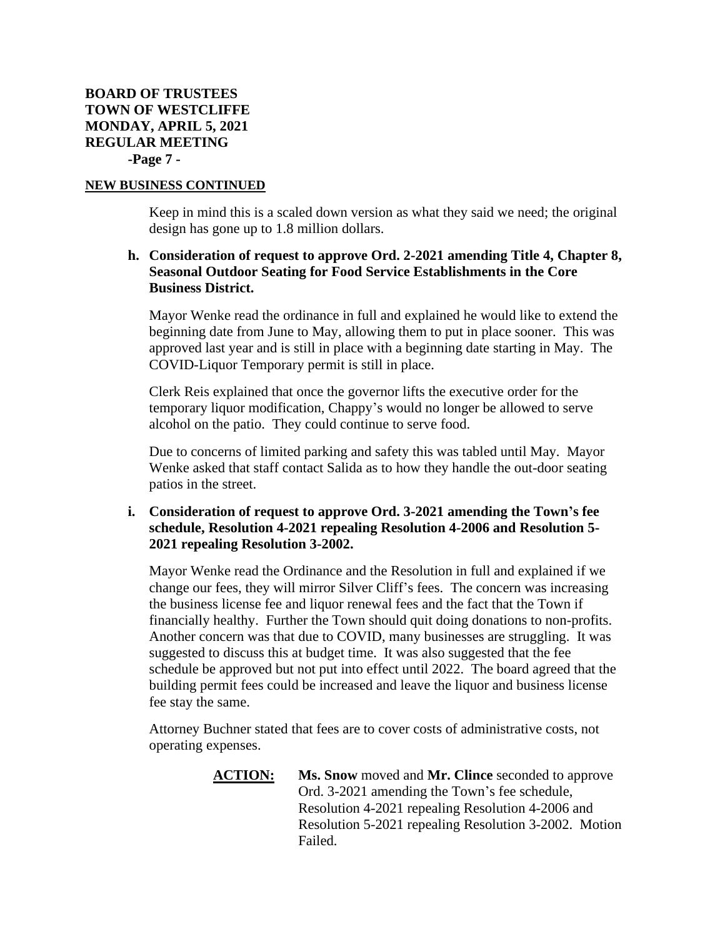# **BOARD OF TRUSTEES TOWN OF WESTCLIFFE MONDAY, APRIL 5, 2021 REGULAR MEETING -Page 7 -**

## **NEW BUSINESS CONTINUED**

Keep in mind this is a scaled down version as what they said we need; the original design has gone up to 1.8 million dollars.

# **h. Consideration of request to approve Ord. 2-2021 amending Title 4, Chapter 8, Seasonal Outdoor Seating for Food Service Establishments in the Core Business District.**

Mayor Wenke read the ordinance in full and explained he would like to extend the beginning date from June to May, allowing them to put in place sooner. This was approved last year and is still in place with a beginning date starting in May. The COVID-Liquor Temporary permit is still in place.

Clerk Reis explained that once the governor lifts the executive order for the temporary liquor modification, Chappy's would no longer be allowed to serve alcohol on the patio. They could continue to serve food.

Due to concerns of limited parking and safety this was tabled until May. Mayor Wenke asked that staff contact Salida as to how they handle the out-door seating patios in the street.

## **i. Consideration of request to approve Ord. 3-2021 amending the Town's fee schedule, Resolution 4-2021 repealing Resolution 4-2006 and Resolution 5- 2021 repealing Resolution 3-2002.**

Mayor Wenke read the Ordinance and the Resolution in full and explained if we change our fees, they will mirror Silver Cliff's fees. The concern was increasing the business license fee and liquor renewal fees and the fact that the Town if financially healthy. Further the Town should quit doing donations to non-profits. Another concern was that due to COVID, many businesses are struggling. It was suggested to discuss this at budget time. It was also suggested that the fee schedule be approved but not put into effect until 2022. The board agreed that the building permit fees could be increased and leave the liquor and business license fee stay the same.

Attorney Buchner stated that fees are to cover costs of administrative costs, not operating expenses.

> **ACTION: Ms. Snow** moved and **Mr. Clince** seconded to approve Ord. 3-2021 amending the Town's fee schedule, Resolution 4-2021 repealing Resolution 4-2006 and Resolution 5-2021 repealing Resolution 3-2002. Motion Failed.